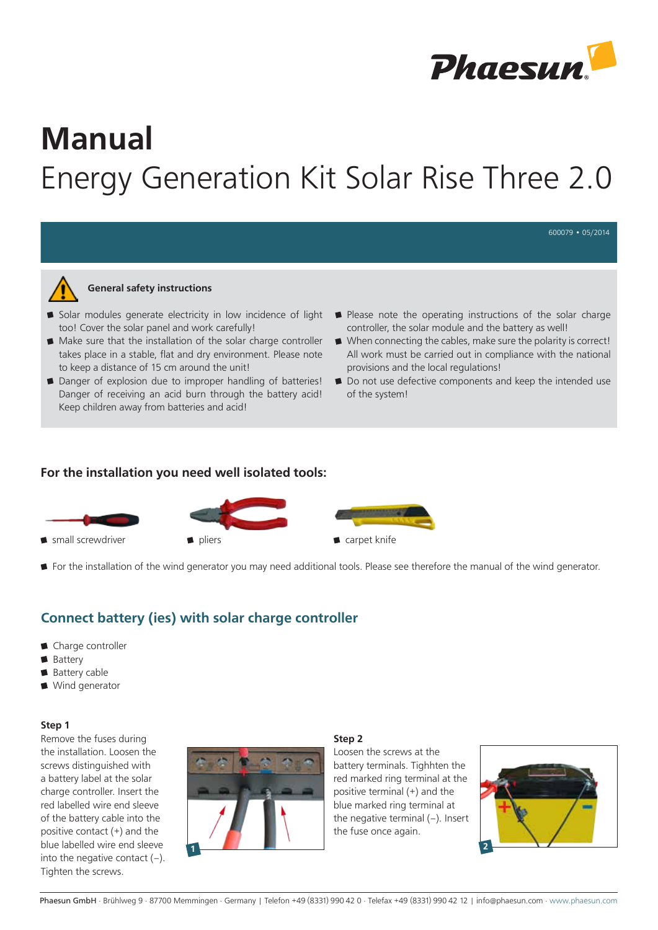

600079 • 05/2014

# Manual Energy Generation Kit Solar Rise Three 2.0



#### General safety instructions

- Solar modules generate electricity in low incidence of light too! Cover the solar panel and work carefully!
- Make sure that the installation of the solar charge controller takes place in a stable, flat and dry environment. Please note to keep a distance of 15 cm around the unit!
- Danger of explosion due to improper handling of batteries! Danger of receiving an acid burn through the battery acid! Keep children away from batteries and acid!
- Please note the operating instructions of the solar charge controller, the solar module and the battery as well!
- When connecting the cables, make sure the polarity is correct! All work must be carried out in compliance with the national provisions and the local regulations!
- Do not use defective components and keep the intended use of the system!

## For the installation you need well isolated tools:







For the installation of the wind generator you may need additional tools. Please see therefore the manual of the wind generator.

# Connect battery (ies) with solar charge controller

- Charge controller
- Battery
- **Battery cable**
- Wind generator

#### Step 1

Remove the fuses during the installation. Loosen the screws distinguished with a battery label at the solar charge controller. Insert the red labelled wire end sleeve of the battery cable into the positive contact (+) and the blue labelled wire end sleeve into the negative contact  $(-)$ . Tighten the screws.



### Step 2

Loosen the screws at the battery terminals. Tighhten the red marked ring terminal at the positive terminal (+) and the blue marked ring terminal at the negative terminal (–). Insert the fuse once again.

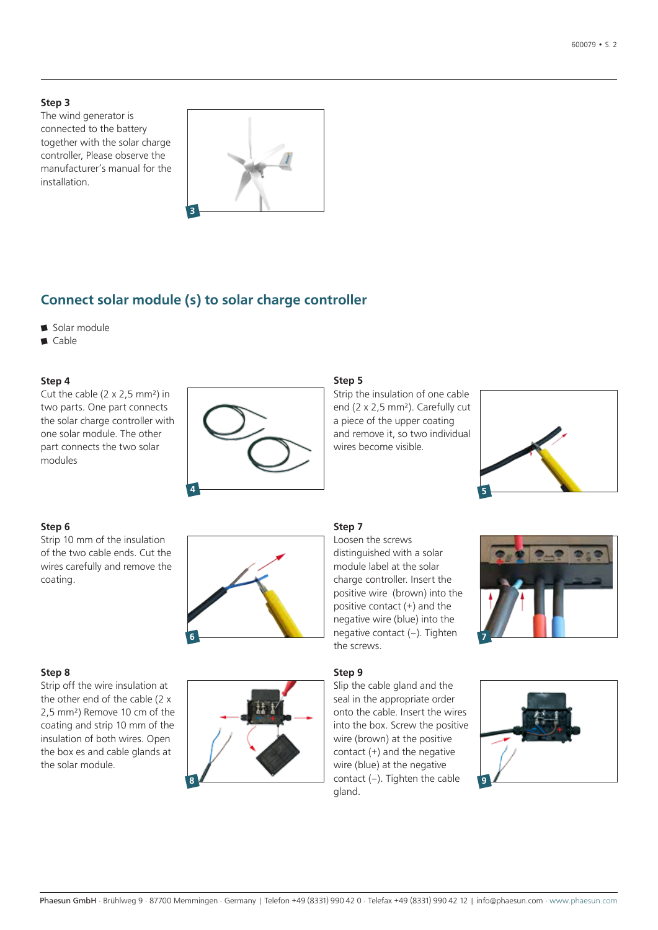#### Step 3

The wind generator is connected to the battery together with the solar charge controller, Please observe the manufacturer's manual for the installation.



# Connect solar module (s) to solar charge controller

- Solar module
- Cable

#### Step 4

Cut the cable (2 x 2,5 mm²) in two parts. One part connects the solar charge controller with one solar module. The other part connects the two solar modules



#### Step 6

Strip 10 mm of the insulation of the two cable ends. Cut the wires carefully and remove the coating.



#### Step 8

Strip off the wire insulation at the other end of the cable (2 x 2,5 mm²) Remove 10 cm of the coating and strip 10 mm of the insulation of both wires. Open the box es and cable glands at the solar module.



#### Step 5

Strip the insulation of one cable end (2 x 2,5 mm²). Carefully cut a piece of the upper coating and remove it, so two individual wires become visible.



#### Step 7

Loosen the screws distinguished with a solar module label at the solar charge controller. Insert the positive wire (brown) into the positive contact (+) and the negative wire (blue) into the the screws.



Step 9 Slip the cable gland and the seal in the appropriate order onto the cable. Insert the wires into the box. Screw the positive wire (brown) at the positive contact (+) and the negative wire (blue) at the negative gland.